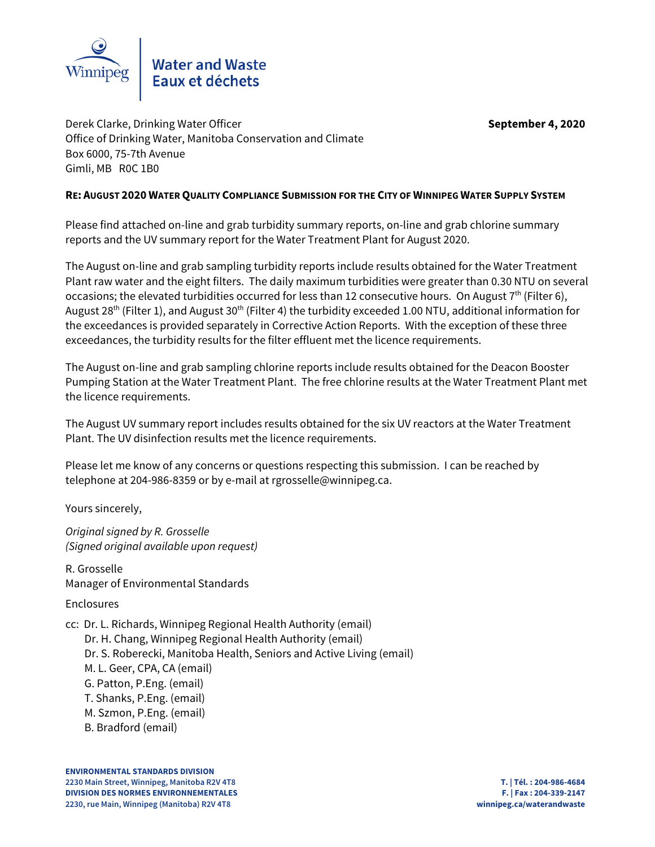

Derek Clarke, Drinking Water Officer **September 4, 2020** Office of Drinking Water, Manitoba Conservation and Climate Box 6000, 75-7th Avenue Gimli, MB R0C 1B0

# **RE: AUGUST 2020 WATER QUALITY COMPLIANCE SUBMISSION FOR THE CITY OF WINNIPEG WATER SUPPLY SYSTEM**

Please find attached on-line and grab turbidity summary reports, on-line and grab chlorine summary reports and the UV summary report for the Water Treatment Plant for August 2020.

The August on-line and grab sampling turbidity reports include results obtained for the Water Treatment Plant raw water and the eight filters. The daily maximum turbidities were greater than 0.30 NTU on several occasions; the elevated turbidities occurred for less than 12 consecutive hours. On August  $7<sup>th</sup>$  (Filter 6), August 28<sup>th</sup> (Filter 1), and August 30<sup>th</sup> (Filter 4) the turbidity exceeded 1.00 NTU, additional information for the exceedances is provided separately in Corrective Action Reports. With the exception of these three exceedances, the turbidity results for the filter effluent met the licence requirements.

The August on-line and grab sampling chlorine reports include results obtained for the Deacon Booster Pumping Station at the Water Treatment Plant. The free chlorine results at the Water Treatment Plant met the licence requirements.

The August UV summary report includes results obtained for the six UV reactors at the Water Treatment Plant. The UV disinfection results met the licence requirements.

Please let me know of any concerns or questions respecting this submission. I can be reached by telephone at 204-986-8359 or by e-mail at rgrosselle@winnipeg.ca.

Yours sincerely,

Original signed by R. Grosselle (Signed original available upon request)

R. Grosselle Manager of Environmental Standards

Enclosures

cc: Dr. L. Richards, Winnipeg Regional Health Authority (email) Dr. H. Chang, Winnipeg Regional Health Authority (email) Dr. S. Roberecki, Manitoba Health, Seniors and Active Living (email) M. L. Geer, CPA, CA (email) G. Patton, P.Eng. (email) T. Shanks, P.Eng. (email) M. Szmon, P.Eng. (email) B. Bradford (email)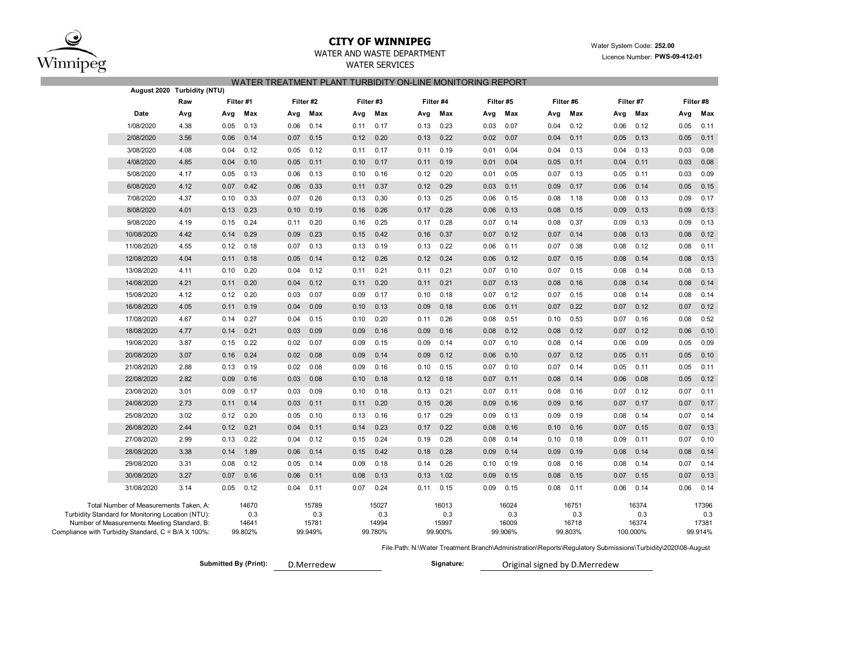

## **CITY OF WINNIPEG**

### WATER AND WASTE DEPARTMENT

WATER SERVICES

### Water System Code: **252.00** Licence Number: **PWS-09-412-01**

#### WATER TREATMENT PLANT TURBIDITY ON-LINE MONITORING REPORT

| Raw                                                 | Filter #1 | Filter #2 | Filter#3 | Filter #4 | Filter #5 | Filter#6 | Filter #7 | Filter #8 |
|-----------------------------------------------------|-----------|-----------|----------|-----------|-----------|----------|-----------|-----------|
| Date                                                | Max       | Max       | Max      | Max       | Max       | Max      | Max       | Max       |
| Avg                                                 | Avg       | Avg       | Avg      | Avg       | Avg       | Avg      | Avg       | Avg       |
| 1/08/2020                                           | 0.05      | 0.06      | 0.11     | 0.23      | 0.03      | 0.12     | 0.06      | 0.11      |
| 4.38                                                | 0.13      | 0.14      | 0.17     | 0.13      | 0.07      | 0.04     | 0.12      | 0.05      |
| 2/08/2020                                           | 0.14      | 0.07      | 0.20     | 0.22      | 0.02      | 0.04     | 0.13      | 0.05      |
| 3.56                                                | 0.06      | 0.15      | 0.12     | 0.13      | 0.07      | 0.11     | 0.05      | 0.11      |
| 4.08                                                | 0.12      | 0.12      | 0.17     | 0.19      | 0.04      | 0.13     | 0.13      | 0.08      |
| 3/08/2020                                           | 0.04      | 0.05      | 0.11     | 0.11      | 0.01      | 0.04     | 0.04      | 0.03      |
| 4/08/2020                                           | 0.04      | 0.05      | 0.10     | 0.19      | 0.01      | 0.11     | 0.11      | 0.08      |
| 4.85                                                | 0.10      | 0.11      | 0.17     | 0.11      | 0.04      | 0.05     | 0.04      | 0.03      |
| 5/08/2020                                           | 0.05      | 0.06      | 0.16     | 0.20      | 0.05      | 0.13     | 0.05      | 0.03      |
| 4.17                                                | 0.13      | 0.13      | 0.10     | 0.12      | 0.01      | 0.07     | 0.11      | 0.09      |
| 6/08/2020                                           | 0.07      | 0.06      | 0.37     | 0.29      | 0.03      | 0.09     | 0.06      | 0.05      |
| 4.12                                                | 0.42      | 0.33      | 0.11     | 0.12      | 0.11      | 0.17     | 0.14      | 0.15      |
| 7/08/2020                                           | 0.33      | 0.07      | 0.13     | 0.25      | 0.06      | 0.08     | 0.08      | 0.17      |
| 4.37                                                | 0.10      | 0.26      | 0.30     | 0.13      | 0.15      | 1.18     | 0.13      | 0.09      |
| 4.01                                                | 0.23      | 0.10      | 0.26     | 0.28      | 0.06      | 0.08     | 0.09      | 0.09      |
| 8/08/2020                                           | 0.13      | 0.19      | 0.16     | 0.17      | 0.13      | 0.15     | 0.13      | 0.13      |
| 9/08/2020                                           | 0.24      | 0.20      | 0.25     | 0.28      | 0.07      | 0.37     | 0.13      | 0.09      |
| 4.19                                                | 0.15      | 0.11      | 0.16     | 0.17      | 0.14      | 0.08     | 0.09      | 0.13      |
| 10/08/2020                                          | 0.29      | 0.09      | 0.42     | 0.37      | 0.07      | 0.07     | 0.08      | 0.08      |
| 4.42                                                | 0.14      | 0.23      | 0.15     | 0.16      | 0.12      | 0.14     | 0.13      | 0.12      |
| 4.55                                                | 0.18      | 0.07      | 0.13     | 0.22      | 0.06      | 0.07     | 0.08      | 0.08      |
| 11/08/2020                                          | 0.12      | 0.13      | 0.19     | 0.13      | 0.11      | 0.38     | 0.12      | 0.11      |
| 12/08/2020                                          | 0.18      | 0.05      | 0.12     | 0.24      | 0.06      | 0.07     | 0.08      | 0.08      |
| 4.04                                                | 0.11      | 0.14      | 0.26     | 0.12      | 0.12      | 0.15     | 0.14      | 0.13      |
| 13/08/2020                                          | 0.20      | 0.04      | 0.21     | 0.21      | 0.07      | 0.15     | 0.14      | 0.08      |
| 4.11                                                | 0.10      | 0.12      | 0.11     | 0.11      | 0.10      | 0.07     | 0.08      | 0.13      |
| 4.21                                                | 0.20      | 0.04      | 0.20     | 0.21      | 0.07      | 0.08     | 0.14      | 0.08      |
| 14/08/2020                                          | 0.11      | 0.12      | 0.11     | 0.11      | 0.13      | 0.16     | 0.08      | 0.14      |
| 15/08/2020                                          | 0.20      | 0.03      | 0.09     | 0.18      | 0.07      | 0.07     | 0.08      | 0.08      |
| 4.12                                                | 0.12      | 0.07      | 0.17     | 0.10      | 0.12      | 0.15     | 0.14      | 0.14      |
| 16/08/2020                                          | 0.19      | 0.04      | 0.10     | 0.09      | 0.06      | 0.07     | 0.07      | 0.07      |
| 4.05                                                | 0.11      | 0.09      | 0.13     | 0.18      | 0.11      | 0.22     | 0.12      | 0.12      |
| 17/08/2020                                          | 0.27      | 0.04      | 0.20     | 0.26      | 0.08      | 0.10     | 0.07      | 0.52      |
| 4.67                                                | 0.14      | 0.15      | 0.10     | 0.11      | 0.51      | 0.53     | 0.16      | 0.08      |
| 4.77                                                | 0.21      | 0.03      | 0.16     | 0.09      | 0.08      | 0.12     | 0.12      | 0.06      |
| 18/08/2020                                          | 0.14      | 0.09      | 0.09     | 0.16      | 0.12      | 0.08     | 0.07      | 0.10      |
| 3.87                                                | 0.22      | 0.02      | 0.15     | 0.09      | 0.07      | 0.08     | 0.06      | 0.09      |
| 19/08/2020                                          | 0.15      | 0.07      | 0.09     | 0.14      | 0.10      | 0.14     | 0.09      | 0.05      |
| 20/08/2020                                          | 0.24      | 0.02      | 0.14     | 0.09      | 0.06      | 0.07     | 0.05      | 0.05      |
| 3.07                                                | 0.16      | 0.08      | 0.09     | 0.12      | 0.10      | 0.12     | 0.11      | 0.10      |
| 21/08/2020                                          | 0.13      | 0.02      | 0.09     | 0.10      | 0.07      | 0.07     | 0.05      | 0.05      |
| 2.88                                                | 0.19      | 0.08      | 0.16     | 0.15      | 0.10      | 0.14     | 0.11      | 0.11      |
| 22/08/2020                                          | 0.16      | 0.03      | 0.10     | 0.18      | 0.07      | 0.08     | 0.08      | 0.05      |
| 2.82                                                | 0.09      | 0.08      | 0.18     | 0.12      | 0.11      | 0.14     | 0.06      | 0.12      |
| 23/08/2020                                          | 0.09      | 0.03      | 0.10     | 0.21      | 0.07      | 0.08     | 0.12      | 0.07      |
| 3.01                                                | 0.17      | 0.09      | 0.18     | 0.13      | 0.11      | 0.16     | 0.07      | 0.11      |
| 24/08/2020                                          | 0.11      | 0.03      | 0.11     | 0.26      | 0.09      | 0.09     | 0.17      | 0.07      |
| 2.73                                                | 0.14      | 0.11      | 0.20     | 0.15      | 0.16      | 0.16     | 0.07      | 0.17      |
| 3.02                                                | 0.20      | 0.05      | 0.16     | 0.29      | 0.09      | 0.09     | 0.08      | 0.14      |
| 25/08/2020                                          | 0.12      | 0.10      | 0.13     | 0.17      | 0.13      | 0.19     | 0.14      | 0.07      |
| 26/08/2020                                          | 0.21      | 0.04      | 0.23     | 0.22      | 0.08      | 0.10     | 0.07      | 0.07      |
| 2.44                                                | 0.12      | 0.11      | 0.14     | 0.17      | 0.16      | 0.16     | 0.15      | 0.13      |
| 27/08/2020                                          | 0.22      | 0.04      | 0.24     | 0.28      | 0.08      | 0.18     | 0.09      | 0.07      |
| 2.99                                                | 0.13      | 0.12      | 0.15     | 0.19      | 0.14      | 0.10     | 0.11      | 0.10      |
| 28/08/2020                                          | 1.89      | 0.06      | 0.15     | 0.28      | 0.09      | 0.09     | 0.08      | 0.08      |
| 3.38                                                | 0.14      | 0.14      | 0.42     | 0.18      | 0.14      | 0.19     | 0.14      | 0.14      |
| 29/08/2020                                          | 0.08      | 0.05      | 0.18     | 0.26      | 0.10      | 0.08     | 0.08      | 0.14      |
| 3.31                                                | 0.12      | 0.14      | 0.09     | 0.14      | 0.19      | 0.16     | 0.14      | 0.07      |
| 30/08/2020                                          | 0.07      | 0.06      | 0.13     | 0.13      | 0.15      | 0.08     | 0.07      | 0.13      |
| 3.27                                                | 0.16      | 0.11      | 0.08     | 1.02      | 0.09      | 0.15     | 0.15      | 0.07      |
| 31/08/2020                                          | 0.12      | 0.04      | 0.07     | 0.15      | 0.09      | 0.08     | 0.14      | 0.06      |
| 3.14                                                | 0.05      | 0.11      | 0.24     | 0.11      | 0.15      | 0.11     | 0.06      | 0.14      |
| Total Number of Measurements Taken, A:              | 14670     | 15789     | 15027    | 16013     | 16024     | 16751    | 16374     | 17396     |
| Turbidity Standard for Monitoring Location (NTU):   | 0.3       | 0.3       | 0.3      | 0.3       | 0.3       | 0.3      | 0.3       | 0.3       |
| Number of Measurements Meeting Standard, B:         | 14641     | 15781     | 14994    | 15997     | 16009     | 16718    | 16374     | 17381     |
| Compliance with Turbidity Standard, C = B/A X 100%: | 99.802%   | 99.949%   | 99.780%  | 99.900%   | 99.906%   | 99.803%  | 100.000%  | 99.914%   |

File Path: N:\Water Treatment Branch\Administration\Reports\Regulatory Submissions\Turbidity\2020\08-August

 $Submitted By (Print):$ 

D.Merredew **Signature:** Original signed by D.Merredew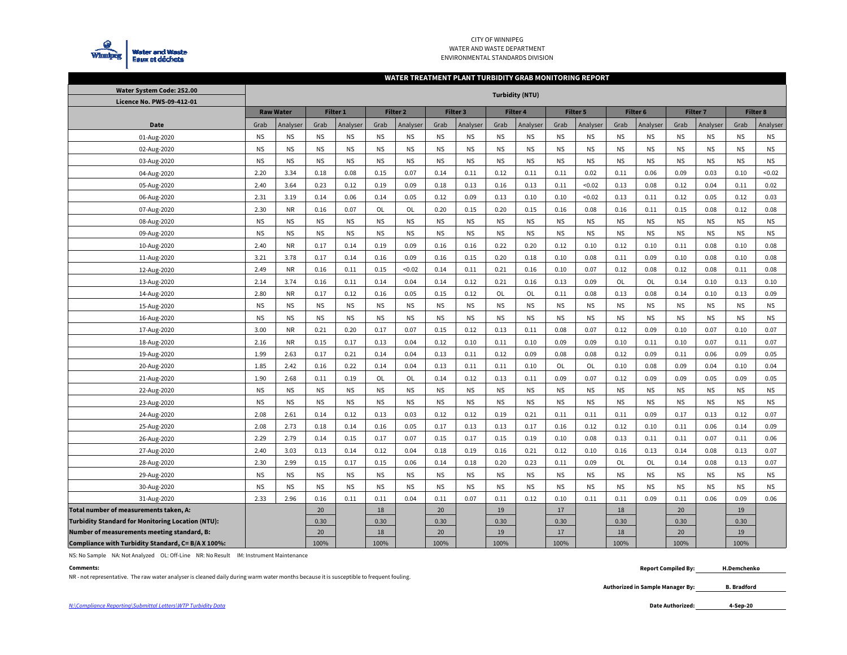

#### CITY OF WINNIPEG WATER AND WASTE DEPARTMENTENVIRONMENTAL STANDARDS DIVISION

#### **WATER TREATMENT PLANT TURBIDITY GRAB MONITORING REPORT**

| Water System Code: 252.00                                | <b>Turbidity (NTU)</b> |                  |           |           |           |                     |           |           |           |           |           |           |           |           |           |           |                 |           |
|----------------------------------------------------------|------------------------|------------------|-----------|-----------|-----------|---------------------|-----------|-----------|-----------|-----------|-----------|-----------|-----------|-----------|-----------|-----------|-----------------|-----------|
| Licence No. PWS-09-412-01                                |                        |                  |           |           |           |                     |           |           |           |           |           |           |           |           |           |           |                 |           |
|                                                          |                        | <b>Raw Water</b> |           | Filter 1  |           | Filter <sub>2</sub> |           | Filter 3  |           | Filter 4  |           | Filter 5  | Filter 6  |           | Filter 7  |           | <b>Filter 8</b> |           |
| Date                                                     | Analyser<br>Grab       |                  | Grab      | Analyser  | Grab      | Analyser            | Grab      | Analyser  | Grab      | Analyser  | Grab      | Analyser  | Grab      | Analyser  | Grab      | Analyser  | Grab            | Analyser  |
| 01-Aug-2020                                              | <b>NS</b>              | <b>NS</b>        | <b>NS</b> | <b>NS</b> | <b>NS</b> | <b>NS</b>           | <b>NS</b> | <b>NS</b> | <b>NS</b> | <b>NS</b> | <b>NS</b> | <b>NS</b> | <b>NS</b> | <b>NS</b> | <b>NS</b> | <b>NS</b> | <b>NS</b>       | <b>NS</b> |
| 02-Aug-2020                                              | <b>NS</b><br><b>NS</b> |                  | <b>NS</b> | <b>NS</b> | <b>NS</b> | <b>NS</b>           | <b>NS</b> | <b>NS</b> | <b>NS</b> | <b>NS</b> | <b>NS</b> | <b>NS</b> | <b>NS</b> | <b>NS</b> | <b>NS</b> | <b>NS</b> | <b>NS</b>       | <b>NS</b> |
| 03-Aug-2020                                              | <b>NS</b>              | <b>NS</b>        | <b>NS</b> | <b>NS</b> | <b>NS</b> | <b>NS</b>           | <b>NS</b> | <b>NS</b> | <b>NS</b> | <b>NS</b> | <b>NS</b> | <b>NS</b> | <b>NS</b> | <b>NS</b> | <b>NS</b> | <b>NS</b> | <b>NS</b>       | <b>NS</b> |
| 04-Aug-2020                                              | 2.20<br>3.34           |                  | 0.18      | 0.08      | 0.15      | 0.07                | 0.14      | 0.11      | 0.12      | 0.11      | 0.11      | 0.02      | 0.11      | 0.06      | 0.09      | 0.03      | 0.10            | < 0.02    |
| 05-Aug-2020                                              | 2.40                   | 3.64             | 0.23      | 0.12      | 0.19      | 0.09                | 0.18      | 0.13      | 0.16      | 0.13      | 0.11      | < 0.02    | 0.13      | 0.08      | 0.12      | 0.04      | 0.11            | 0.02      |
| 06-Aug-2020                                              | 2.31                   | 3.19             | 0.14      | 0.06      | 0.14      | 0.05                | 0.12      | 0.09      | 0.13      | 0.10      | 0.10      | < 0.02    | 0.13      | 0.11      | 0.12      | 0.05      | 0.12            | 0.03      |
| 07-Aug-2020                                              | 2.30                   | <b>NR</b>        | 0.16      | 0.07      | OL        | OL                  | 0.20      | 0.15      | 0.20      | 0.15      | 0.16      | 0.08      | 0.16      | 0.11      | 0.15      | 0.08      | 0.12            | 0.08      |
| 08-Aug-2020                                              | <b>NS</b>              | <b>NS</b>        | <b>NS</b> | <b>NS</b> | <b>NS</b> | <b>NS</b>           | <b>NS</b> | <b>NS</b> | <b>NS</b> | <b>NS</b> | <b>NS</b> | <b>NS</b> | <b>NS</b> | <b>NS</b> | <b>NS</b> | <b>NS</b> | <b>NS</b>       | NS.       |
| 09-Aug-2020                                              | <b>NS</b>              | <b>NS</b>        | <b>NS</b> | <b>NS</b> | <b>NS</b> | <b>NS</b>           | <b>NS</b> | <b>NS</b> | <b>NS</b> | <b>NS</b> | <b>NS</b> | <b>NS</b> | <b>NS</b> | <b>NS</b> | <b>NS</b> | <b>NS</b> | <b>NS</b>       | <b>NS</b> |
| 10-Aug-2020                                              | 2.40                   | <b>NR</b>        | 0.17      | 0.14      | 0.19      | 0.09                | 0.16      | 0.16      | 0.22      | 0.20      | 0.12      | 0.10      | 0.12      | 0.10      | 0.11      | 0.08      | 0.10            | 0.08      |
| 11-Aug-2020                                              | 3.21                   | 3.78             | 0.17      | 0.14      | 0.16      | 0.09                | 0.16      | 0.15      | 0.20      | 0.18      | 0.10      | 0.08      | 0.11      | 0.09      | 0.10      | 0.08      | 0.10            | 0.08      |
| 12-Aug-2020                                              | 2.49                   | <b>NR</b>        | 0.16      | 0.11      | 0.15      | < 0.02              | 0.14      | 0.11      | 0.21      | 0.16      | 0.10      | 0.07      | 0.12      | 0.08      | 0.12      | 0.08      | 0.11            | 0.08      |
| 13-Aug-2020                                              | 2.14                   | 3.74             | 0.16      | 0.11      | 0.14      | 0.04                | 0.14      | 0.12      | 0.21      | 0.16      | 0.13      | 0.09      | OL        | OL        | 0.14      | 0.10      | 0.13            | 0.10      |
| 14-Aug-2020                                              | 2.80                   | <b>NR</b>        | 0.17      | 0.12      | 0.16      | 0.05                | 0.15      | 0.12      | OL        | OL        | 0.11      | 0.08      | 0.13      | 0.08      | 0.14      | 0.10      | 0.13            | 0.09      |
| 15-Aug-2020                                              | <b>NS</b>              | ΝS               | <b>NS</b> | ΝS        | <b>NS</b> | <b>NS</b>           | <b>NS</b> | <b>NS</b> | <b>NS</b> | <b>NS</b> | <b>NS</b> | <b>NS</b> | ΝS        | <b>NS</b> | <b>NS</b> | <b>NS</b> | <b>NS</b>       | NS.       |
| 16-Aug-2020                                              | <b>NS</b>              | <b>NS</b>        | <b>NS</b> | <b>NS</b> | <b>NS</b> | <b>NS</b>           | <b>NS</b> | <b>NS</b> | <b>NS</b> | <b>NS</b> | <b>NS</b> | <b>NS</b> | <b>NS</b> | <b>NS</b> | <b>NS</b> | <b>NS</b> | <b>NS</b>       | <b>NS</b> |
| 17-Aug-2020                                              | 3.00                   | <b>NR</b>        | 0.21      | 0.20      | 0.17      | 0.07                | 0.15      | 0.12      | 0.13      | 0.11      | 0.08      | 0.07      | 0.12      | 0.09      | 0.10      | 0.07      | 0.10            | 0.07      |
| 18-Aug-2020                                              | 2.16                   | <b>NR</b>        | 0.15      | 0.17      | 0.13      | 0.04                | 0.12      | 0.10      | 0.11      | 0.10      | 0.09      | 0.09      | 0.10      | 0.11      | 0.10      | 0.07      | 0.11            | 0.07      |
| 19-Aug-2020                                              | 1.99                   | 2.63             | 0.17      | 0.21      | 0.14      | 0.04                | 0.13      | 0.11      | 0.12      | 0.09      | 0.08      | 0.08      | 0.12      | 0.09      | 0.11      | 0.06      | 0.09            | 0.05      |
| 20-Aug-2020                                              | 1.85                   | 2.42             | 0.16      | 0.22      | 0.14      | 0.04                | 0.13      | 0.11      | 0.11      | 0.10      | OL        | OL        | 0.10      | 0.08      | 0.09      | 0.04      | 0.10            | 0.04      |
| 21-Aug-2020                                              | 1.90                   | 2.68             | 0.11      | 0.19      | OL        | OL                  | 0.14      | 0.12      | 0.13      | 0.11      | 0.09      | 0.07      | 0.12      | 0.09      | 0.09      | 0.05      | 0.09            | 0.05      |
| 22-Aug-2020                                              | <b>NS</b>              | <b>NS</b>        | <b>NS</b> | <b>NS</b> | <b>NS</b> | <b>NS</b>           | <b>NS</b> | <b>NS</b> | <b>NS</b> | <b>NS</b> | <b>NS</b> | <b>NS</b> | <b>NS</b> | <b>NS</b> | <b>NS</b> | <b>NS</b> | <b>NS</b>       | <b>NS</b> |
| 23-Aug-2020                                              | <b>NS</b>              | <b>NS</b>        | <b>NS</b> | <b>NS</b> | <b>NS</b> | <b>NS</b>           | <b>NS</b> | <b>NS</b> | <b>NS</b> | <b>NS</b> | <b>NS</b> | <b>NS</b> | <b>NS</b> | <b>NS</b> | <b>NS</b> | <b>NS</b> | <b>NS</b>       | <b>NS</b> |
| 24-Aug-2020                                              | 2.08                   | 2.61             | 0.14      | 0.12      | 0.13      | 0.03                | 0.12      | 0.12      | 0.19      | 0.21      | 0.11      | 0.11      | 0.11      | 0.09      | 0.17      | 0.13      | 0.12            | 0.07      |
| 25-Aug-2020                                              | 2.08                   | 2.73             | 0.18      | 0.14      | 0.16      | 0.05                | 0.17      | 0.13      | 0.13      | 0.17      | 0.16      | 0.12      | 0.12      | 0.10      | 0.11      | 0.06      | 0.14            | 0.09      |
| 26-Aug-2020                                              | 2.29                   | 2.79             | 0.14      | 0.15      | 0.17      | 0.07                | 0.15      | 0.17      | 0.15      | 0.19      | 0.10      | 0.08      | 0.13      | 0.11      | 0.11      | 0.07      | 0.11            | 0.06      |
| 27-Aug-2020                                              | 2.40                   | 3.03             | 0.13      | 0.14      | 0.12      | 0.04                | 0.18      | 0.19      | 0.16      | 0.21      | 0.12      | 0.10      | 0.16      | 0.13      | 0.14      | 0.08      | 0.13            | 0.07      |
| 28-Aug-2020                                              | 2.30                   | 2.99             | 0.15      | 0.17      | 0.15      | 0.06                | 0.14      | 0.18      | 0.20      | 0.23      | 0.11      | 0.09      | OL        | OL        | 0.14      | 0.08      | 0.13            | 0.07      |
| 29-Aug-2020                                              | <b>NS</b>              | <b>NS</b>        | <b>NS</b> | <b>NS</b> | <b>NS</b> | <b>NS</b>           | <b>NS</b> | <b>NS</b> | <b>NS</b> | <b>NS</b> | <b>NS</b> | <b>NS</b> | <b>NS</b> | <b>NS</b> | <b>NS</b> | <b>NS</b> | <b>NS</b>       | NS.       |
| 30-Aug-2020                                              | <b>NS</b>              | <b>NS</b>        | <b>NS</b> | <b>NS</b> | <b>NS</b> | <b>NS</b>           | <b>NS</b> | <b>NS</b> | <b>NS</b> | <b>NS</b> | <b>NS</b> | <b>NS</b> | <b>NS</b> | <b>NS</b> | <b>NS</b> | <b>NS</b> | <b>NS</b>       | <b>NS</b> |
| 31-Aug-2020                                              | 2.33                   | 2.96             | 0.16      | 0.11      | 0.11      | 0.04                | 0.11      | 0.07      | 0.11      | 0.12      | 0.10      | 0.11      | 0.11      | 0.09      | 0.11      | 0.06      | 0.09            | 0.06      |
| Total number of measurements taken, A:                   |                        |                  | 20        |           | 18        |                     | 20        |           | 19        |           | 17        |           | 18        |           | 20        |           | 19              |           |
| <b>Turbidity Standard for Monitoring Location (NTU):</b> |                        |                  | 0.30      |           | 0.30      |                     | 0.30      |           | 0.30      |           | 0.30      |           | 0.30      |           | 0.30      |           | 0.30            |           |
| Number of measurements meeting standard, B:              |                        |                  | 20        |           | 18        |                     | 20        |           | 19        |           | 17        |           | 18        |           | 20        |           | 19              |           |
| Compliance with Turbidity Standard, C= B/A X 100%:       |                        |                  | 100%      |           | 100%      |                     | 100%      |           | 100%      |           | 100%      |           | 100%      |           | 100%      |           | 100%            |           |

NS: No Sample NA: Not Analyzed OL: Off-Line NR: No Result IM: Instrument Maintenance

#### **Comments:**

NR - not representative. The raw water analyser is cleaned daily during warm water months because it is susceptible to frequent fouling.

 **Report Compiled By: H.Demchenko**

> **Authorized in Sample Manager By: B. Bradford**

**4-Sep-20**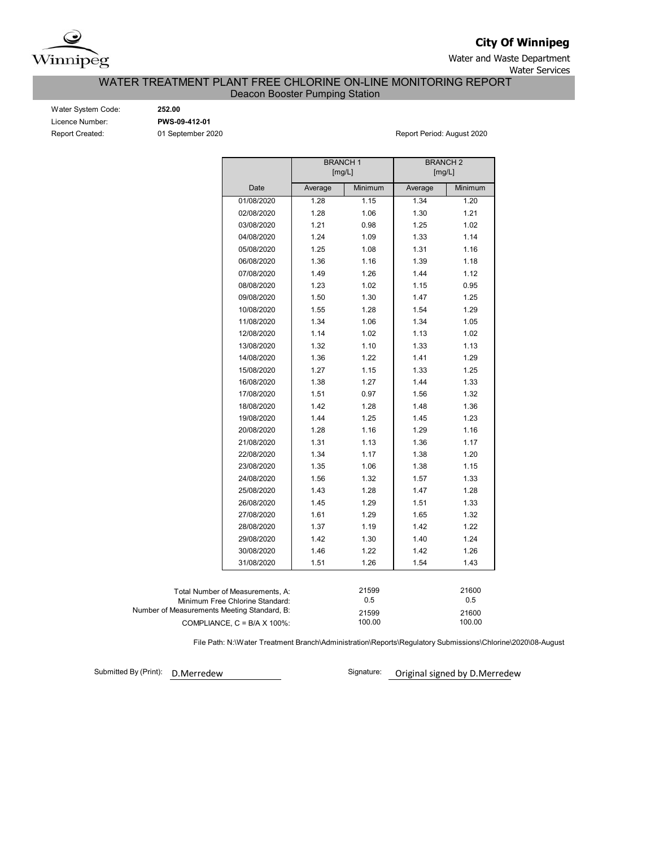

**City Of Winnipeg**

Water and Waste Department Water Services

## WATER TREATMENT PLANT FREE CHLORINE ON-LINE MONITORING REPORT Deacon Booster Pumping Station

Water System Code: **252.00** Licence Number: **PWS-09-412-01**

Report Created: 01 September 2020 Report Period: August 2020

|                                             |                                      | <b>BRANCH1</b><br>[mg/L] |                 | <b>BRANCH2</b><br>[mg/L] |         |
|---------------------------------------------|--------------------------------------|--------------------------|-----------------|--------------------------|---------|
|                                             | Date                                 | Average                  | Minimum         | Average                  | Minimum |
|                                             | 01/08/2020                           | 1.28                     | 1.15            | 1.34                     | 1.20    |
|                                             | 02/08/2020                           | 1.28                     | 1.06            | 1.30                     | 1.21    |
|                                             | 03/08/2020                           | 1.21                     | 0.98            | 1.25                     | 1.02    |
|                                             | 04/08/2020                           | 1.24                     | 1.09            | 1.33                     | 1.14    |
|                                             | 05/08/2020                           | 1.25                     | 1.08            | 1.31                     | 1.16    |
|                                             | 06/08/2020                           | 1.36                     | 1.16            | 1.39                     | 1.18    |
|                                             | 07/08/2020                           | 1.49                     | 1.26            | 1.44                     | 1.12    |
|                                             | 08/08/2020                           | 1.23                     | 1.02            | 1.15                     | 0.95    |
|                                             | 09/08/2020                           | 1.50                     | 1.30            | 1.47                     | 1.25    |
|                                             | 10/08/2020                           | 1.55                     | 1.28            | 1.54                     | 1.29    |
|                                             | 11/08/2020                           | 1.34                     | 1.06            | 1.34                     | 1.05    |
|                                             | 12/08/2020                           | 1.14                     | 1.02            | 1.13                     | 1.02    |
|                                             | 13/08/2020                           | 1.32                     | 1.10            | 1.33                     | 1.13    |
|                                             | 14/08/2020                           | 1.36                     | 1.22            | 1.41                     | 1.29    |
|                                             | 15/08/2020                           | 1.27                     | 1.15            | 1.33                     | 1.25    |
|                                             | 16/08/2020                           | 1.38                     | 1.27            | 1.44                     | 1.33    |
|                                             | 17/08/2020                           | 1.51                     | 0.97            | 1.56                     | 1.32    |
|                                             | 18/08/2020                           | 1.42                     | 1.28            | 1.48                     | 1.36    |
|                                             | 19/08/2020                           | 1.44                     | 1.25            | 1.45                     | 1.23    |
|                                             | 20/08/2020                           | 1.28                     | 1.16            | 1.29                     | 1.16    |
|                                             | 21/08/2020                           | 1.31                     | 1.13            | 1.36                     | 1.17    |
|                                             | 22/08/2020                           | 1.34                     | 1.17            | 1.38                     | 1.20    |
|                                             | 23/08/2020                           | 1.35                     | 1.06            | 1.38                     | 1.15    |
|                                             | 24/08/2020                           | 1.56                     | 1.32            | 1.57                     | 1.33    |
|                                             | 25/08/2020                           | 1.43                     | 1.28            | 1.47                     | 1.28    |
|                                             | 26/08/2020                           | 1.45                     | 1.29            | 1.51                     | 1.33    |
|                                             | 27/08/2020                           | 1.61                     | 1.29            | 1.65                     | 1.32    |
|                                             | 28/08/2020                           | 1.37                     | 1.19            | 1.42                     | 1.22    |
|                                             | 29/08/2020                           | 1.42                     | 1.30            | 1.40                     | 1.24    |
|                                             | 30/08/2020                           | 1.46                     | 1.22            | 1.42                     | 1.26    |
|                                             | 31/08/2020                           | 1.51                     | 1.26            | 1.54                     | 1.43    |
|                                             |                                      |                          |                 |                          |         |
|                                             | Total Number of Measurements, A:     |                          | 21599           |                          | 21600   |
|                                             | Minimum Free Chlorine Standard:      |                          | 0.5<br>21599    |                          | 0.5     |
| Number of Measurements Meeting Standard, B: | COMPLIANCE, $C = B/A \times 100\%$ : |                          | 21600<br>100.00 |                          |         |

File Path: N:\Water Treatment Branch\Administration\Reports\Regulatory Submissions\Chlorine\2020\08-August

Submitted By (Print): D.Merredew

Signature: Original signed by D.Merredew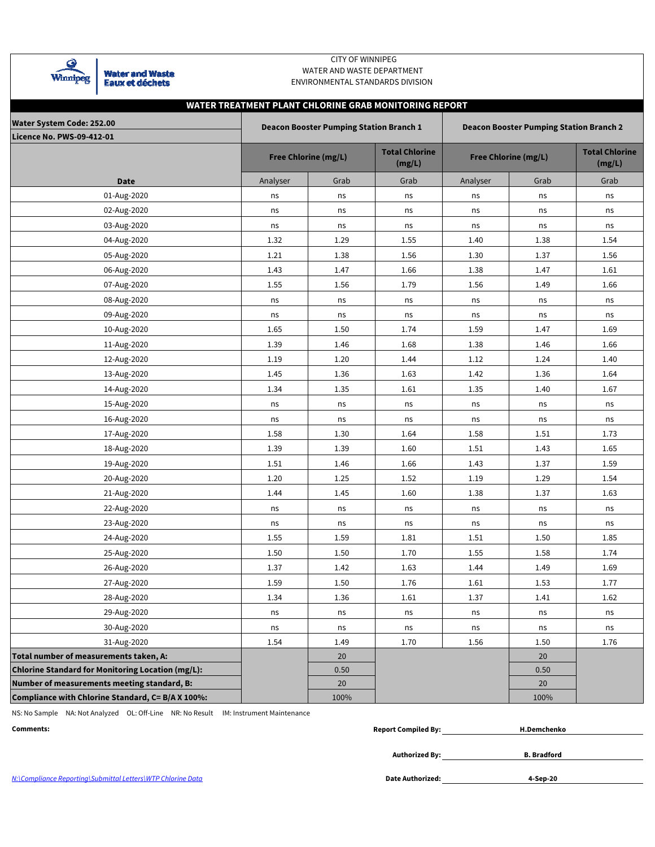

### CITY OF WINNIPEG WATER AND WASTE DEPARTMENT ENVIRONMENTAL STANDARDS DIVISION

# **WATER TREATMENT PLANT CHLORINE GRAB MONITORING REPORT**

| Water System Code: 252.00                                |          | <b>Deacon Booster Pumping Station Branch 1</b> |                                 | <b>Deacon Booster Pumping Station Branch 2</b> |                                 |      |  |  |  |  |  |
|----------------------------------------------------------|----------|------------------------------------------------|---------------------------------|------------------------------------------------|---------------------------------|------|--|--|--|--|--|
| <b>Licence No. PWS-09-412-01</b>                         |          | <b>Free Chlorine (mg/L)</b>                    | <b>Total Chlorine</b><br>(mg/L) | <b>Free Chlorine (mg/L)</b>                    | <b>Total Chlorine</b><br>(mg/L) |      |  |  |  |  |  |
| <b>Date</b>                                              | Analyser | Grab                                           | Grab                            | Analyser                                       | Grab                            | Grab |  |  |  |  |  |
| 01-Aug-2020                                              | ns       | ns                                             | ns                              | ns                                             | ns                              | ns   |  |  |  |  |  |
| 02-Aug-2020                                              | ns       | ns                                             | ns                              | ns                                             | ns                              | ns   |  |  |  |  |  |
| 03-Aug-2020                                              | ns       | ns                                             | ns                              | ns                                             | ns                              | ns   |  |  |  |  |  |
| 04-Aug-2020                                              | 1.32     | 1.29                                           | 1.55                            | 1.40                                           | 1.38                            | 1.54 |  |  |  |  |  |
| 05-Aug-2020                                              | 1.21     | 1.38                                           | 1.56                            | 1.30                                           | 1.37                            | 1.56 |  |  |  |  |  |
| 06-Aug-2020                                              | 1.43     | 1.47                                           | 1.66                            | 1.38                                           | 1.47                            | 1.61 |  |  |  |  |  |
| 07-Aug-2020                                              | 1.55     | 1.56                                           | 1.79                            | 1.56                                           | 1.49                            | 1.66 |  |  |  |  |  |
| 08-Aug-2020                                              | ns       | ns                                             | ns                              | ns                                             | ns                              | ns   |  |  |  |  |  |
| 09-Aug-2020                                              | ns       | ns                                             | ns                              | ns                                             | ns                              | ns   |  |  |  |  |  |
| 10-Aug-2020                                              | 1.65     | 1.50                                           | 1.74                            | 1.59                                           | 1.47                            | 1.69 |  |  |  |  |  |
| 11-Aug-2020                                              | 1.39     | 1.46                                           | 1.68                            | 1.38                                           | 1.46                            | 1.66 |  |  |  |  |  |
| 12-Aug-2020                                              | 1.19     | 1.20                                           | 1.44                            | 1.12                                           | 1.24                            | 1.40 |  |  |  |  |  |
| 13-Aug-2020                                              | 1.45     | 1.36                                           | 1.63                            | 1.42                                           | 1.36                            | 1.64 |  |  |  |  |  |
| 14-Aug-2020                                              | 1.34     | 1.35                                           | 1.61                            | 1.35                                           | 1.40                            | 1.67 |  |  |  |  |  |
| 15-Aug-2020                                              | ns       | ns                                             | ns                              | ns                                             | ns                              | ns   |  |  |  |  |  |
| 16-Aug-2020                                              | ns       | ns                                             | ns                              | ns                                             | ns                              | ns   |  |  |  |  |  |
| 17-Aug-2020                                              | 1.58     | 1.30                                           | 1.64                            | 1.58                                           | 1.51                            | 1.73 |  |  |  |  |  |
| 18-Aug-2020                                              | 1.39     | 1.39                                           | 1.60                            | 1.51                                           | 1.43                            | 1.65 |  |  |  |  |  |
| 19-Aug-2020                                              | 1.51     | 1.46                                           | 1.66                            | 1.43                                           | 1.37                            | 1.59 |  |  |  |  |  |
| 20-Aug-2020                                              | 1.20     | 1.25                                           | 1.52                            | 1.19                                           | 1.29                            | 1.54 |  |  |  |  |  |
| 21-Aug-2020                                              | 1.44     | 1.45                                           | 1.60                            | 1.38                                           | 1.37                            | 1.63 |  |  |  |  |  |
| 22-Aug-2020                                              | ns       | ns                                             | ns                              | ns                                             | ns                              | ns   |  |  |  |  |  |
| 23-Aug-2020                                              | ns       | ns                                             | ns                              | ns                                             | ns                              | ns   |  |  |  |  |  |
| 24-Aug-2020                                              | 1.55     | 1.59                                           | 1.81                            | 1.51                                           | 1.50                            | 1.85 |  |  |  |  |  |
| 25-Aug-2020                                              | 1.50     | 1.50                                           | 1.70                            | 1.55                                           | 1.58                            | 1.74 |  |  |  |  |  |
| 26-Aug-2020                                              | 1.37     | 1.42                                           | 1.63                            | 1.44                                           | 1.49                            | 1.69 |  |  |  |  |  |
| 27-Aug-2020                                              | 1.59     | 1.50                                           | 1.76                            | 1.61                                           | 1.53                            | 1.77 |  |  |  |  |  |
| 28-Aug-2020                                              | 1.34     | 1.36                                           | 1.61                            | 1.37                                           | 1.41                            | 1.62 |  |  |  |  |  |
| 29-Aug-2020                                              | ns       | ns                                             | ns                              | ns                                             | ns                              | ns   |  |  |  |  |  |
| 30-Aug-2020                                              | ns       | ns                                             | ns                              | ns                                             | ns                              | ns   |  |  |  |  |  |
| 31-Aug-2020                                              | 1.54     | 1.49                                           | 1.70                            | 1.56                                           | 1.50                            | 1.76 |  |  |  |  |  |
| Total number of measurements taken, A:                   |          | 20                                             |                                 |                                                | 20                              |      |  |  |  |  |  |
| <b>Chlorine Standard for Monitoring Location (mg/L):</b> |          | 0.50                                           |                                 |                                                | 0.50                            |      |  |  |  |  |  |
| Number of measurements meeting standard, B:              |          | 20                                             |                                 |                                                | 20                              |      |  |  |  |  |  |
| Compliance with Chlorine Standard, C= B/A X 100%:        |          | 100%                                           |                                 |                                                | 100%                            |      |  |  |  |  |  |

NS: No Sample NA: Not Analyzed OL: Off-Line NR: No Result IM: Instrument Maintenance

| Comments | <b>Report Compiled By:</b> | .1.Demchenko |
|----------|----------------------------|--------------|
|          |                            |              |

**Authorized By:**

**B. Bradford**

N:\Compliance Reporting\Submittal Letters\WTP Chlorine Data **Date Authorized:**

**4-Sep-20**